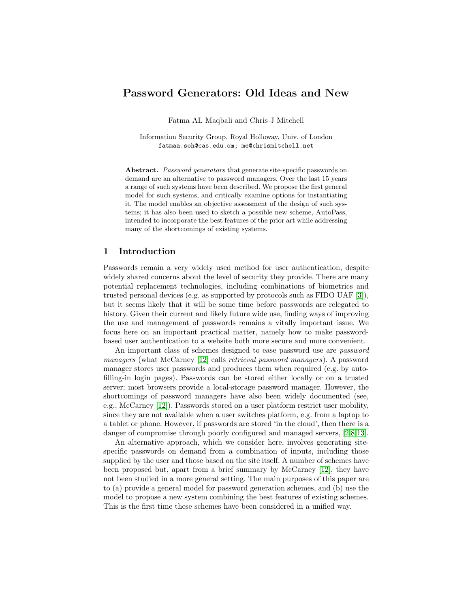# Password Generators: Old Ideas and New

Fatma AL Maqbali and Chris J Mitchell

Information Security Group, Royal Holloway, Univ. of London fatmaa.soh@cas.edu.om; me@chrismitchell.net

Abstract. Password generators that generate site-specific passwords on demand are an alternative to password managers. Over the last 15 years a range of such systems have been described. We propose the first general model for such systems, and critically examine options for instantiating it. The model enables an objective assessment of the design of such systems; it has also been used to sketch a possible new scheme, AutoPass, intended to incorporate the best features of the prior art while addressing many of the shortcomings of existing systems.

## 1 Introduction

Passwords remain a very widely used method for user authentication, despite widely shared concerns about the level of security they provide. There are many potential replacement technologies, including combinations of biometrics and trusted personal devices (e.g. as supported by protocols such as FIDO UAF [\[3\]](#page-7-0)), but it seems likely that it will be some time before passwords are relegated to history. Given their current and likely future wide use, finding ways of improving the use and management of passwords remains a vitally important issue. We focus here on an important practical matter, namely how to make passwordbased user authentication to a website both more secure and more convenient.

An important class of schemes designed to ease password use are password managers (what McCarney [\[12\]](#page-7-1) calls retrieval password managers). A password manager stores user passwords and produces them when required (e.g. by autofilling-in login pages). Passwords can be stored either locally or on a trusted server; most browsers provide a local-storage password manager. However, the shortcomings of password managers have also been widely documented (see, e.g., McCarney [\[12\]](#page-7-1)). Passwords stored on a user platform restrict user mobility, since they are not available when a user switches platform, e.g. from a laptop to a tablet or phone. However, if passwords are stored 'in the cloud', then there is a danger of compromise through poorly configured and managed servers, [\[2,](#page-7-2)[8,](#page-7-3)[13\]](#page-7-4).

An alternative approach, which we consider here, involves generating sitespecific passwords on demand from a combination of inputs, including those supplied by the user and those based on the site itself. A number of schemes have been proposed but, apart from a brief summary by McCarney [\[12\]](#page-7-1), they have not been studied in a more general setting. The main purposes of this paper are to (a) provide a general model for password generation schemes, and (b) use the model to propose a new system combining the best features of existing schemes. This is the first time these schemes have been considered in a unified way.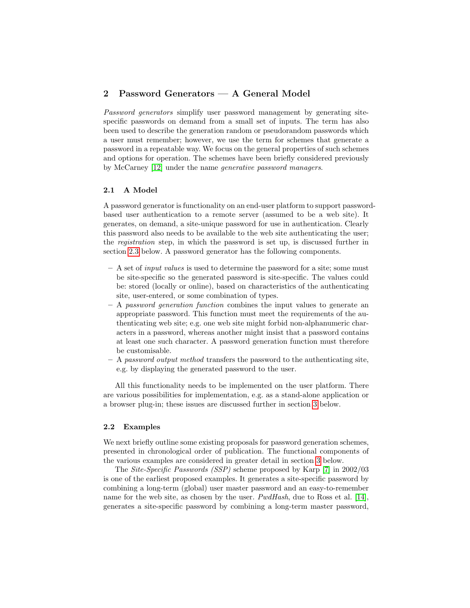## <span id="page-1-0"></span>2 Password Generators — A General Model

Password generators simplify user password management by generating sitespecific passwords on demand from a small set of inputs. The term has also been used to describe the generation random or pseudorandom passwords which a user must remember; however, we use the term for schemes that generate a password in a repeatable way. We focus on the general properties of such schemes and options for operation. The schemes have been briefly considered previously by McCarney [\[12\]](#page-7-1) under the name generative password managers.

### 2.1 A Model

A password generator is functionality on an end-user platform to support passwordbased user authentication to a remote server (assumed to be a web site). It generates, on demand, a site-unique password for use in authentication. Clearly this password also needs to be available to the web site authenticating the user; the registration step, in which the password is set up, is discussed further in section [2.3](#page-2-0) below. A password generator has the following components.

- $-$  A set of *input values* is used to determine the password for a site; some must be site-specific so the generated password is site-specific. The values could be: stored (locally or online), based on characteristics of the authenticating site, user-entered, or some combination of types.
- A password generation function combines the input values to generate an appropriate password. This function must meet the requirements of the authenticating web site; e.g. one web site might forbid non-alphanumeric characters in a password, whereas another might insist that a password contains at least one such character. A password generation function must therefore be customisable.
- $-$  A password output method transfers the password to the authenticating site, e.g. by displaying the generated password to the user.

All this functionality needs to be implemented on the user platform. There are various possibilities for implementation, e.g. as a stand-alone application or a browser plug-in; these issues are discussed further in section [3](#page-2-1) below.

### 2.2 Examples

We next briefly outline some existing proposals for password generation schemes. presented in chronological order of publication. The functional components of the various examples are considered in greater detail in section [3](#page-2-1) below.

The Site-Specific Passwords (SSP) scheme proposed by Karp [\[7\]](#page-7-5) in 2002/03 is one of the earliest proposed examples. It generates a site-specific password by combining a long-term (global) user master password and an easy-to-remember name for the web site, as chosen by the user. PwdHash, due to Ross et al. [\[14\]](#page-7-6), generates a site-specific password by combining a long-term master password,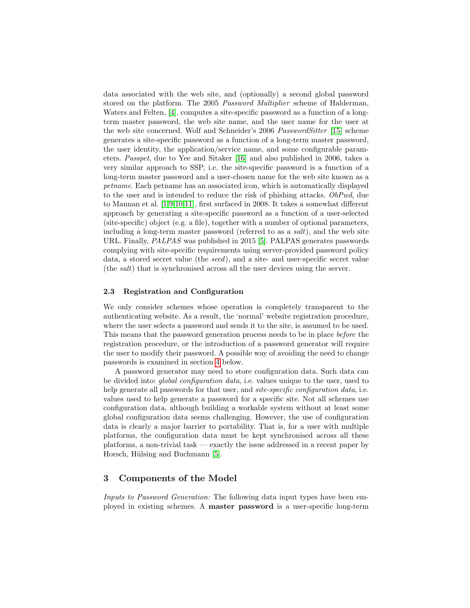data associated with the web site, and (optionally) a second global password stored on the platform. The 2005 Password Multiplier scheme of Halderman, Waters and Felten, [\[4\]](#page-7-7), computes a site-specific password as a function of a longterm master password, the web site name, and the user name for the user at the web site concerned. Wolf and Schneider's 2006 PasswordSitter [\[15\]](#page-7-8) scheme generates a site-specific password as a function of a long-term master password, the user identity, the application/service name, and some configurable parameters. Passpet, due to Yee and Sitaker [\[16\]](#page-7-9) and also published in 2006, takes a very similar approach to SSP, i.e. the site-specific password is a function of a long-term master password and a user-chosen name for the web site known as a petname. Each petname has an associated icon, which is automatically displayed to the user and is intended to reduce the risk of phishing attacks.  $ObPwd$ , due to Mannan et al. [\[1,](#page-7-10)[9](#page-7-11)[,10,](#page-7-12)[11\]](#page-7-13), first surfaced in 2008. It takes a somewhat different approach by generating a site-specific password as a function of a user-selected (site-specific) object (e.g. a file), together with a number of optional parameters, including a long-term master password (referred to as a salt), and the web site URL. Finally, PALPAS was published in 2015 [\[5\]](#page-7-14). PALPAS generates passwords complying with site-specific requirements using server-provided password policy data, a stored secret value (the seed), and a site- and user-specific secret value (the salt) that is synchronised across all the user devices using the server.

### <span id="page-2-0"></span>2.3 Registration and Configuration

We only consider schemes whose operation is completely transparent to the authenticating website. As a result, the 'normal' website registration procedure, where the user selects a password and sends it to the site, is assumed to be used. This means that the password generation process needs to be in place before the registration procedure, or the introduction of a password generator will require the user to modify their password. A possible way of avoiding the need to change passwords is examined in section [4](#page-3-0) below.

A password generator may need to store configuration data. Such data can be divided into: global configuration data, i.e. values unique to the user, used to help generate all passwords for that user, and *site-specific configuration data*, i.e. values used to help generate a password for a specific site. Not all schemes use configuration data, although building a workable system without at least some global configuration data seems challenging. However, the use of configuration data is clearly a major barrier to portability. That is, for a user with multiple platforms, the configuration data must be kept synchronised across all these platforms, a non-trivial task — exactly the issue addressed in a recent paper by Horsch, Hülsing and Buchmann [\[5\]](#page-7-14).

### <span id="page-2-1"></span>3 Components of the Model

Inputs to Password Generation: The following data input types have been employed in existing schemes. A master password is a user-specific long-term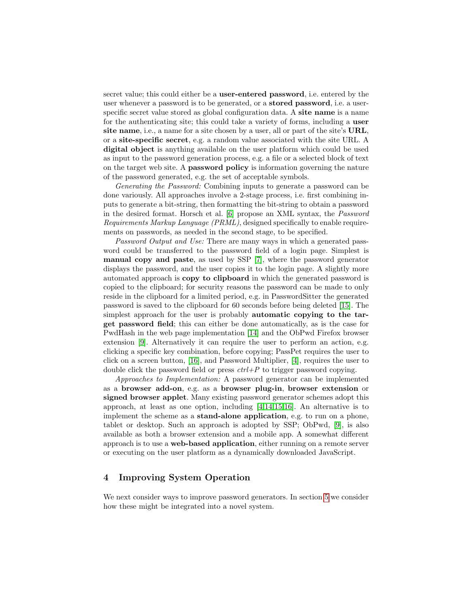secret value; this could either be a user-entered password, i.e. entered by the user whenever a password is to be generated, or a stored password, i.e. a userspecific secret value stored as global configuration data. A site name is a name for the authenticating site; this could take a variety of forms, including a user site name, i.e., a name for a site chosen by a user, all or part of the site's URL, or a site-specific secret, e.g. a random value associated with the site URL. A digital object is anything available on the user platform which could be used as input to the password generation process, e.g. a file or a selected block of text on the target web site. A password policy is information governing the nature of the password generated, e.g. the set of acceptable symbols.

Generating the Password: Combining inputs to generate a password can be done variously. All approaches involve a 2-stage process, i.e. first combining inputs to generate a bit-string, then formatting the bit-string to obtain a password in the desired format. Horsch et al. [\[6\]](#page-7-15) propose an XML syntax, the Password Requirements Markup Language (PRML), designed specifically to enable requirements on passwords, as needed in the second stage, to be specified.

Password Output and Use: There are many ways in which a generated password could be transferred to the password field of a login page. Simplest is manual copy and paste, as used by SSP [\[7\]](#page-7-5), where the password generator displays the password, and the user copies it to the login page. A slightly more automated approach is copy to clipboard in which the generated password is copied to the clipboard; for security reasons the password can be made to only reside in the clipboard for a limited period, e.g. in PasswordSitter the generated password is saved to the clipboard for 60 seconds before being deleted [\[15\]](#page-7-8). The simplest approach for the user is probably automatic copying to the target password field; this can either be done automatically, as is the case for PwdHash in the web page implementation [\[14\]](#page-7-6) and the ObPwd Firefox browser extension [\[9\]](#page-7-11). Alternatively it can require the user to perform an action, e.g. clicking a specific key combination, before copying; PassPet requires the user to click on a screen button, [\[16\]](#page-7-9), and Password Multiplier, [\[4\]](#page-7-7), requires the user to double click the password field or press  $ctrl + P$  to trigger password copying.

Approaches to Implementation: A password generator can be implemented as a browser add-on, e.g. as a browser plug-in, browser extension or signed browser applet. Many existing password generator schemes adopt this approach, at least as one option, including [\[4,](#page-7-7)[14,](#page-7-6)[15,](#page-7-8)[16\]](#page-7-9). An alternative is to implement the scheme as a stand-alone application, e.g. to run on a phone, tablet or desktop. Such an approach is adopted by SSP; ObPwd, [\[9\]](#page-7-11), is also available as both a browser extension and a mobile app. A somewhat different approach is to use a web-based application, either running on a remote server or executing on the user platform as a dynamically downloaded JavaScript.

# <span id="page-3-0"></span>4 Improving System Operation

We next consider ways to improve password generators. In section [5](#page-5-0) we consider how these might be integrated into a novel system.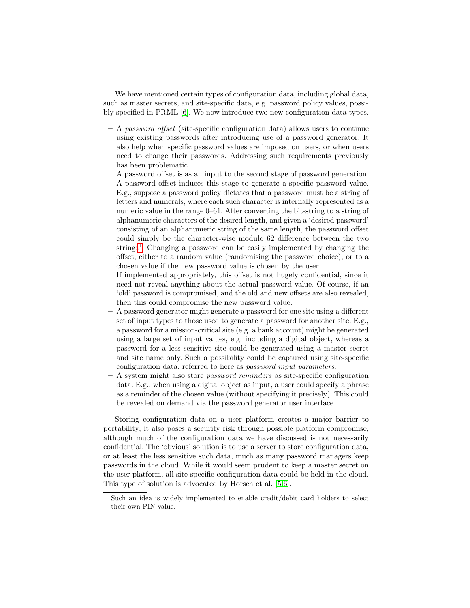We have mentioned certain types of configuration data, including global data, such as master secrets, and site-specific data, e.g. password policy values, possibly specified in PRML [\[6\]](#page-7-15). We now introduce two new configuration data types.

– A password offset (site-specific configuration data) allows users to continue using existing passwords after introducing use of a password generator. It also help when specific password values are imposed on users, or when users need to change their passwords. Addressing such requirements previously has been problematic.

A password offset is as an input to the second stage of password generation. A password offset induces this stage to generate a specific password value. E.g., suppose a password policy dictates that a password must be a string of letters and numerals, where each such character is internally represented as a numeric value in the range 0–61. After converting the bit-string to a string of alphanumeric characters of the desired length, and given a 'desired password' consisting of an alphanumeric string of the same length, the password offset could simply be the character-wise modulo 62 difference between the two strings<sup>[1](#page-4-0)</sup>. Changing a password can be easily implemented by changing the offset, either to a random value (randomising the password choice), or to a chosen value if the new password value is chosen by the user.

If implemented appropriately, this offset is not hugely confidential, since it need not reveal anything about the actual password value. Of course, if an 'old' password is compromised, and the old and new offsets are also revealed, then this could compromise the new password value.

- A password generator might generate a password for one site using a different set of input types to those used to generate a password for another site. E.g., a password for a mission-critical site (e.g. a bank account) might be generated using a large set of input values, e.g. including a digital object, whereas a password for a less sensitive site could be generated using a master secret and site name only. Such a possibility could be captured using site-specific configuration data, referred to here as password input parameters.
- A system might also store password reminders as site-specific configuration data. E.g., when using a digital object as input, a user could specify a phrase as a reminder of the chosen value (without specifying it precisely). This could be revealed on demand via the password generator user interface.

Storing configuration data on a user platform creates a major barrier to portability; it also poses a security risk through possible platform compromise, although much of the configuration data we have discussed is not necessarily confidential. The 'obvious' solution is to use a server to store configuration data, or at least the less sensitive such data, much as many password managers keep passwords in the cloud. While it would seem prudent to keep a master secret on the user platform, all site-specific configuration data could be held in the cloud. This type of solution is advocated by Horsch et al. [\[5,](#page-7-14)[6\]](#page-7-15).

<span id="page-4-0"></span><sup>1</sup> Such an idea is widely implemented to enable credit/debit card holders to select their own PIN value.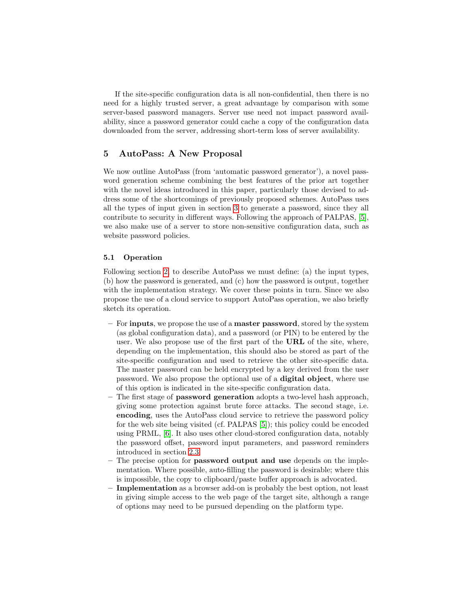If the site-specific configuration data is all non-confidential, then there is no need for a highly trusted server, a great advantage by comparison with some server-based password managers. Server use need not impact password availability, since a password generator could cache a copy of the configuration data downloaded from the server, addressing short-term loss of server availability.

### <span id="page-5-0"></span>5 AutoPass: A New Proposal

We now outline AutoPass (from 'automatic password generator'), a novel password generation scheme combining the best features of the prior art together with the novel ideas introduced in this paper, particularly those devised to address some of the shortcomings of previously proposed schemes. AutoPass uses all the types of input given in section [3](#page-2-1) to generate a password, since they all contribute to security in different ways. Following the approach of PALPAS, [\[5\]](#page-7-14), we also make use of a server to store non-sensitive configuration data, such as website password policies.

#### 5.1 Operation

Following section [2,](#page-1-0) to describe AutoPass we must define: (a) the input types, (b) how the password is generated, and (c) how the password is output, together with the implementation strategy. We cover these points in turn. Since we also propose the use of a cloud service to support AutoPass operation, we also briefly sketch its operation.

- $-$  For inputs, we propose the use of a master password, stored by the system (as global configuration data), and a password (or PIN) to be entered by the user. We also propose use of the first part of the URL of the site, where, depending on the implementation, this should also be stored as part of the site-specific configuration and used to retrieve the other site-specific data. The master password can be held encrypted by a key derived from the user password. We also propose the optional use of a digital object, where use of this option is indicated in the site-specific configuration data.
- The first stage of password generation adopts a two-level hash approach, giving some protection against brute force attacks. The second stage, i.e. encoding, uses the AutoPass cloud service to retrieve the password policy for the web site being visited (cf. PALPAS [\[5\]](#page-7-14)); this policy could be encoded using PRML, [\[6\]](#page-7-15). It also uses other cloud-stored configuration data, notably the password offset, password input parameters, and password reminders introduced in section [2.3.](#page-2-0)
- The precise option for **password output and use** depends on the implementation. Where possible, auto-filling the password is desirable; where this is impossible, the copy to clipboard/paste buffer approach is advocated.
- Implementation as a browser add-on is probably the best option, not least in giving simple access to the web page of the target site, although a range of options may need to be pursued depending on the platform type.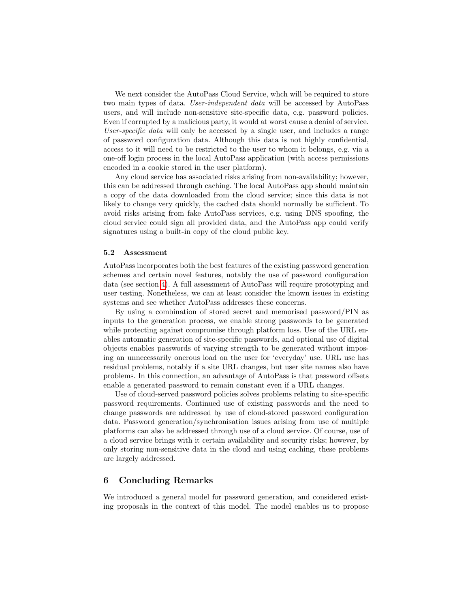We next consider the AutoPass Cloud Service, whch will be required to store two main types of data. User-independent data will be accessed by AutoPass users, and will include non-sensitive site-specific data, e.g. password policies. Even if corrupted by a malicious party, it would at worst cause a denial of service. User-specific data will only be accessed by a single user, and includes a range of password configuration data. Although this data is not highly confidential, access to it will need to be restricted to the user to whom it belongs, e.g. via a one-off login process in the local AutoPass application (with access permissions encoded in a cookie stored in the user platform).

Any cloud service has associated risks arising from non-availability; however, this can be addressed through caching. The local AutoPass app should maintain a copy of the data downloaded from the cloud service; since this data is not likely to change very quickly, the cached data should normally be sufficient. To avoid risks arising from fake AutoPass services, e.g. using DNS spoofing, the cloud service could sign all provided data, and the AutoPass app could verify signatures using a built-in copy of the cloud public key.

#### 5.2 Assessment

AutoPass incorporates both the best features of the existing password generation schemes and certain novel features, notably the use of password configuration data (see section [4\)](#page-3-0). A full assessment of AutoPass will require prototyping and user testing. Nonetheless, we can at least consider the known issues in existing systems and see whether AutoPass addresses these concerns.

By using a combination of stored secret and memorised password/PIN as inputs to the generation process, we enable strong passwords to be generated while protecting against compromise through platform loss. Use of the URL enables automatic generation of site-specific passwords, and optional use of digital objects enables passwords of varying strength to be generated without imposing an unnecessarily onerous load on the user for 'everyday' use. URL use has residual problems, notably if a site URL changes, but user site names also have problems. In this connection, an advantage of AutoPass is that password offsets enable a generated password to remain constant even if a URL changes.

Use of cloud-served password policies solves problems relating to site-specific password requirements. Continued use of existing passwords and the need to change passwords are addressed by use of cloud-stored password configuration data. Password generation/synchronisation issues arising from use of multiple platforms can also be addressed through use of a cloud service. Of course, use of a cloud service brings with it certain availability and security risks; however, by only storing non-sensitive data in the cloud and using caching, these problems are largely addressed.

## 6 Concluding Remarks

We introduced a general model for password generation, and considered existing proposals in the context of this model. The model enables us to propose